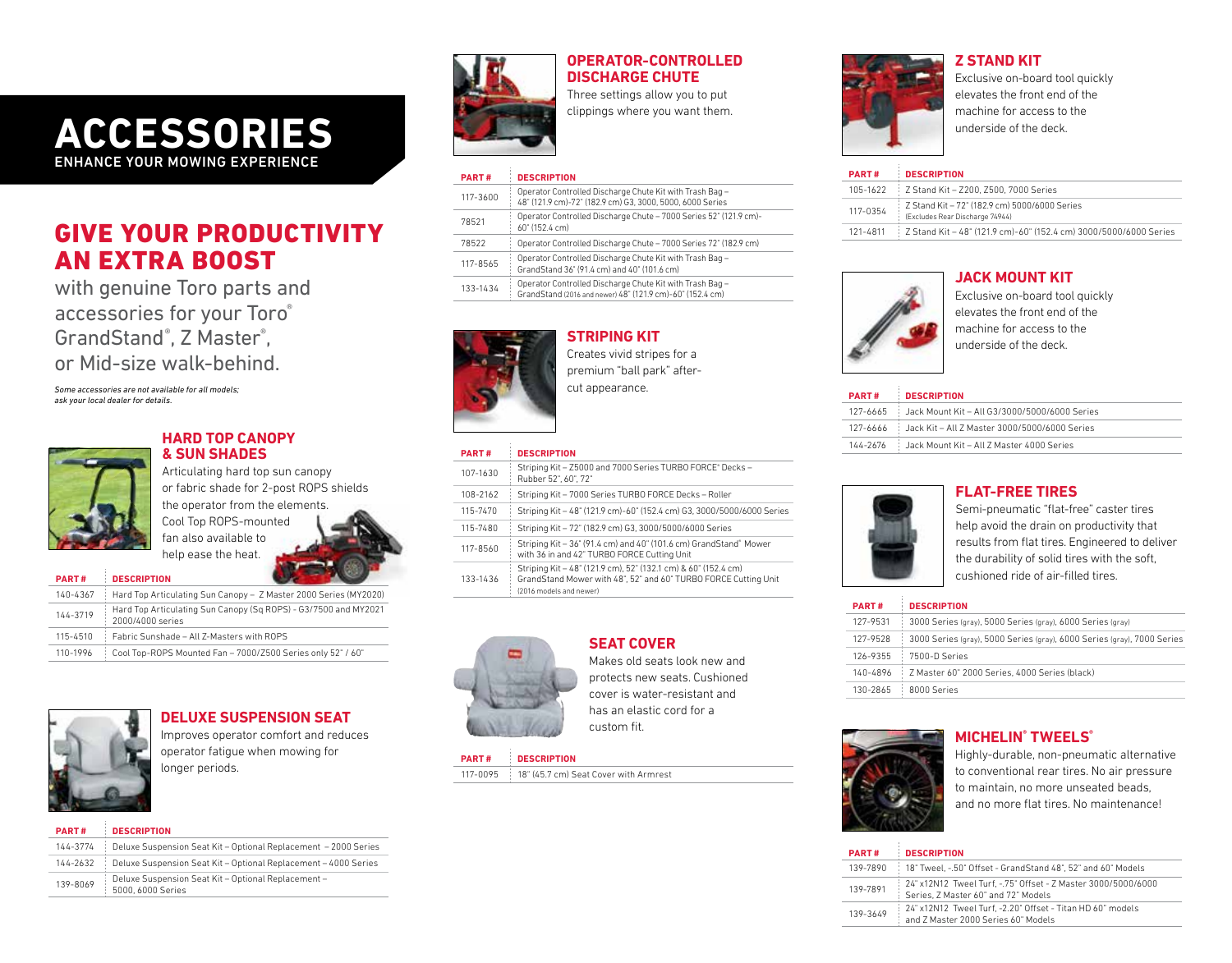# **ACCESSORIES** ENHANCE YOUR MOWING EXPERIENCE

# GIVE YOUR PRODUCTIVITY AN EXTRA BOOST

with genuine Toro parts and accessories for your Toro® GrandStand®, Z Master®, or Mid-size walk-behind.

*Some accessories are not available for all models; ask your local dealer for details.*



## **HARD TOP CANOPY & SUN SHADES**

Articulating hard top sun canopy or fabric shade for 2-post ROPS shields the operator from the elements. Cool Top ROPS-mounted fan also available to help ease the heat.

| <b>PART#</b> | <b>DESCRIPTION</b>                                                                  |
|--------------|-------------------------------------------------------------------------------------|
| 140-4367     | Hard Top Articulating Sun Canopy - Z Master 2000 Series (MY2020)                    |
| 144-3719     | Hard Top Articulating Sun Canopy (Sq ROPS) - G3/7500 and MY2021<br>2000/4000 series |
| 115-4510     | Fabric Sunshade - All 7-Masters with ROPS                                           |
| 110-1996     | Cool Top-ROPS Mounted Fan - 7000/Z500 Series only 52" / 60"                         |



## **DELUXE SUSPENSION SEAT**

Improves operator comfort and reduces operator fatigue when mowing for longer periods.

| <b>PART#</b> | <b>DESCRIPTION</b>                                                       |
|--------------|--------------------------------------------------------------------------|
| 144-3774     | Deluxe Suspension Seat Kit - Optional Replacement - 2000 Series          |
| 144-2632     | Deluxe Suspension Seat Kit - Optional Replacement - 4000 Series          |
| 139-8069     | Deluxe Suspension Seat Kit - Optional Replacement -<br>5000, 6000 Series |



# **OPERATOR-CONTROLLED DISCHARGE CHUTE**

Three settings allow you to put clippings where you want them.

### **PART # DESCRIPTION**

| 117-3600 | Operator Controlled Discharge Chute Kit with Trash Bag -<br>48" (121.9 cm)-72" (182.9 cm) G3, 3000, 5000, 6000 Series |
|----------|-----------------------------------------------------------------------------------------------------------------------|
| 78521    | Operator Controlled Discharge Chute - 7000 Series 52" (121.9 cm)-<br>60" (152.4 cm)                                   |
| 78522    | Operator Controlled Discharge Chute - 7000 Series 72" (182.9 cm)                                                      |
| 117-8565 | Operator Controlled Discharge Chute Kit with Trash Bag -<br>GrandStand 36" (91.4 cm) and 40" (101.6 cm)               |
| 133-1434 | Operator Controlled Discharge Chute Kit with Trash Bag -<br>GrandStand (2016 and newer) 48" (121.9 cm)-60" (152.4 cm) |



**STRIPING KIT** Creates vivid stripes for a premium "ball park" aftercut appearance.

| 107-1630 | Striping Kit - Z5000 and 7000 Series TURBO FORCE® Decks-<br>Rubber 52", 60", 72"                                                                             |
|----------|--------------------------------------------------------------------------------------------------------------------------------------------------------------|
| 108-2162 | Striping Kit - 7000 Series TURBO FORCE Decks - Roller                                                                                                        |
| 115-7470 | Striping Kit - 48" (121.9 cm)-60" (152.4 cm) G3, 3000/5000/6000 Series                                                                                       |
| 115-7480 | Striping Kit - 72" (182.9 cm) G3, 3000/5000/6000 Series                                                                                                      |
| 117-8560 | Striping Kit - 36" (91.4 cm) and 40" (101.6 cm) GrandStand® Mower<br>with 36 in and 42" TURBO FORCE Cutting Unit                                             |
| 133-1436 | Striping Kit - 48" (121.9 cm), 52" (132.1 cm) & 60" (152.4 cm)<br>GrandStand Mower with 48", 52" and 60" TURBO FORCE Cutting Unit<br>(2016 models and newer) |
|          |                                                                                                                                                              |

**SEAT COVER**



Makes old seats look new and protects new seats. Cushioned cover is water-resistant and has an elastic cord for a custom fit.

### **PART # DESCRIPTION**

117-0095 18" (45.7 cm) Seat Cover with Armrest

# **Z STAND KIT**

Exclusive on-board tool quickly elevates the front end of the machine for access to the underside of the deck.

### **PART # DESCRIPTION** 105-1622 Z Stand Kit – Z200, Z500, 7000 Series 117-0354 Z Stand Kit – 72" (182.9 cm) 5000/6000 Series (Excludes Rear Discharge 74944) 121-4811 Z Stand Kit – 48" (121.9 cm)-60" (152.4 cm) 3000/5000/6000 Series

## **JACK MOUNT KIT**



Exclusive on-board tool quickly elevates the front end of the

### **PART # DESCRIPTION**

|                                    | 127-6665 : Jack Mount Kit - All G3/3000/5000/6000 Series |
|------------------------------------|----------------------------------------------------------|
|                                    |                                                          |
| <b>PART#</b><br><b>DESCRIPTION</b> | 144-2676 Jack Mount Kit – All Z Master 4000 Series       |
|                                    |                                                          |



# **FLAT-FREE TIRES**

Semi-pneumatic "flat-free" caster tires help avoid the drain on productivity that results from flat tires. Engineered to deliver the durability of solid tires with the soft, cushioned ride of air-filled tires.

| <b>PART#</b> | <b>DESCRIPTION</b>                                                      |
|--------------|-------------------------------------------------------------------------|
| 127-9531     | 3000 Series (gray), 5000 Series (gray), 6000 Series (gray)              |
| 127-9528     | 3000 Series (gray), 5000 Series (gray), 6000 Series (gray), 7000 Series |
| 126-9355     | 7500-D Series                                                           |
| 140-4896     | Z Master 60" 2000 Series, 4000 Series (black)                           |
| 130-2865     | 8000 Series                                                             |



## **MICHELIN® TWEELS®**

Highly-durable, non-pneumatic alternative to conventional rear tires. No air pressure to maintain, no more unseated beads, and no more flat tires. No maintenance!

# **PART # DESCRIPTION**

|          | 139-7890 18" Tweel, -.50" Offset - GrandStand 48", 52" and 60" Models                                 |
|----------|-------------------------------------------------------------------------------------------------------|
| 139-7891 | 24" x12N12 Tweel Turf, -. 75" Offset - Z Master 3000/5000/6000<br>Series, Z Master 60" and 72" Models |
| 139-3649 | 24" x12N12 Tweel Turf. -2.20" Offset - Titan HD 60" models<br>and 7 Master 2000 Series 60" Models     |